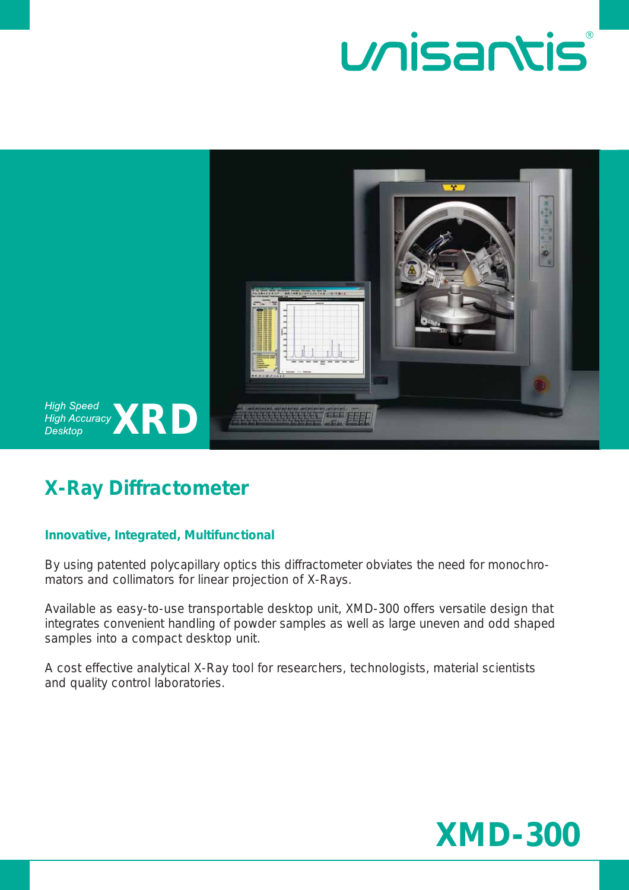



### **X-Ray Diffractometer**

### **Innovative, Integrated, Multifunctional**

By using patented polycapillary optics this diffractometer obviates the need for monochromators and collimators for linear projection of X-Rays.

Available as easy-to-use transportable desktop unit, XMD-300 offers versatile design that integrates convenient handling of powder samples as well as large uneven and odd shaped samples into a compact desktop unit.

A cost effective analytical X-Ray tool for researchers, technologists, material scientists and quality control laboratories.

# **XMD-300**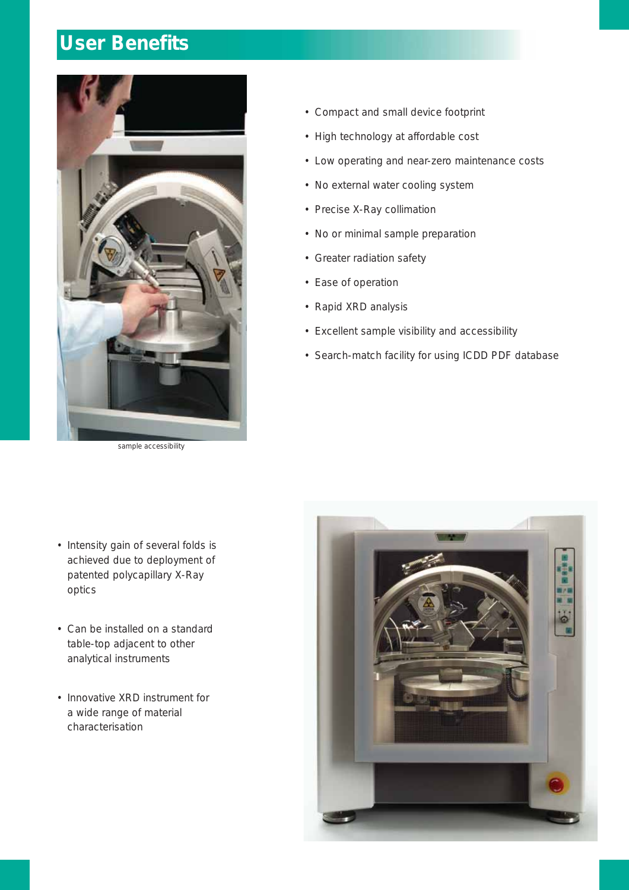## **User Benefits**



sample accessibility

- Compact and small device footprint
- High technology at affordable cost
- Low operating and near-zero maintenance costs
- No external water cooling system
- Precise X-Ray collimation
- No or minimal sample preparation
- Greater radiation safety
- Ease of operation
- Rapid XRD analysis
- Excellent sample visibility and accessibility
- Search-match facility for using ICDD PDF database

- Intensity gain of several folds is achieved due to deployment of patented polycapillary X-Ray optics
- Can be installed on a standard table-top adjacent to other analytical instruments
- Innovative XRD instrument for a wide range of material characterisation

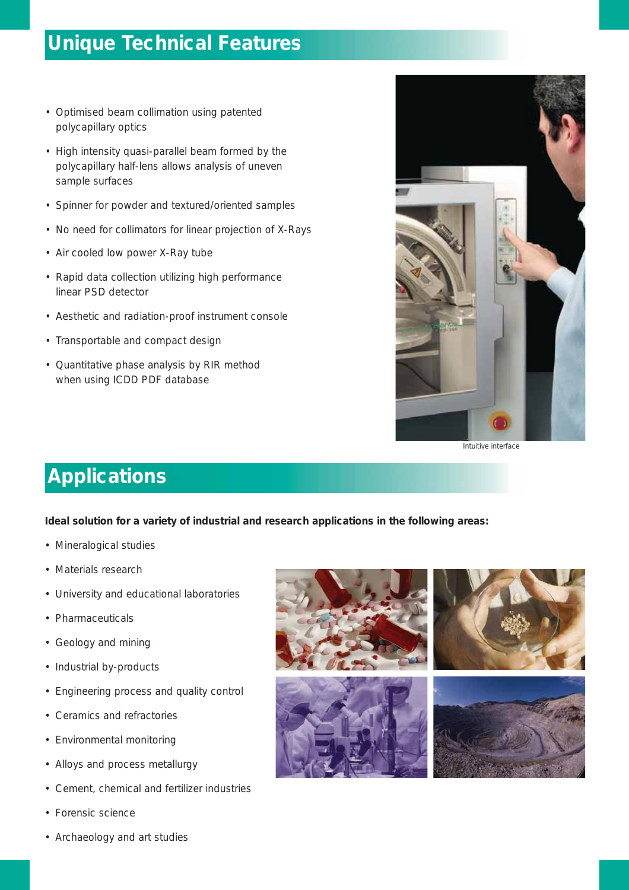### **Unique Technical Features**

- Optimised beam collimation using patented polycapillary optics
- High intensity quasi-parallel beam formed by the polycapillary half-lens allows analysis of uneven sample surfaces
- Spinner for powder and textured/oriented samples
- No need for collimators for linear projection of X-Rays
- Air cooled low power X-Ray tube
- Rapid data collection utilizing high performance linear PSD detector
- Aesthetic and radiation-proof instrument console
- Transportable and compact design
- Quantitative phase analysis by RIR method when using ICDD PDF database



#### Intuitive interface

### **Applications**

**Ideal solution for a variety of industrial and research applications in the following areas:**

- Mineralogical studies
- Materials research
- University and educational laboratories
- Pharmaceuticals
- Geology and mining
- Industrial by-products
- Engineering process and quality control
- Ceramics and refractories
- Environmental monitoring
- Alloys and process metallurgy
- Cement, chemical and fertilizer industries
- Forensic science
- Archaeology and art studies

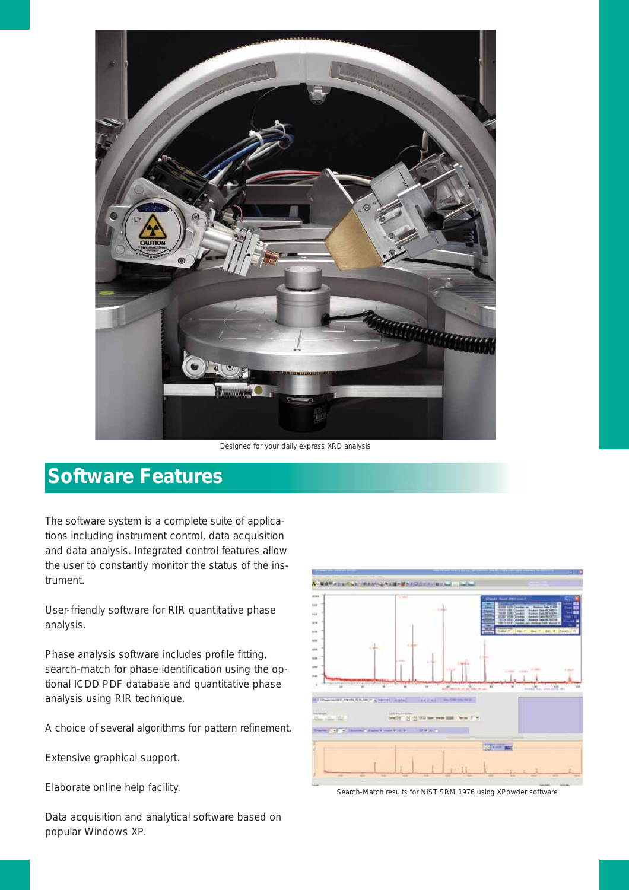

Designed for your daily express XRD analysis

### **Software Features**

The software system is a complete suite of applications including instrument control, data acquisition and data analysis. Integrated control features allow the user to constantly monitor the status of the instrument.

User-friendly software for RIR quantitative phase analysis.

Phase analysis software includes profile fitting, search-match for phase identification using the optional ICDD PDF database and quantitative phase analysis using RIR technique.

A choice of several algorithms for pattern refinement.

Extensive graphical support.

Elaborate online help facility.

Data acquisition and analytical software based on popular Windows XP.



Search-Match results for NIST SRM 1976 using XPowder software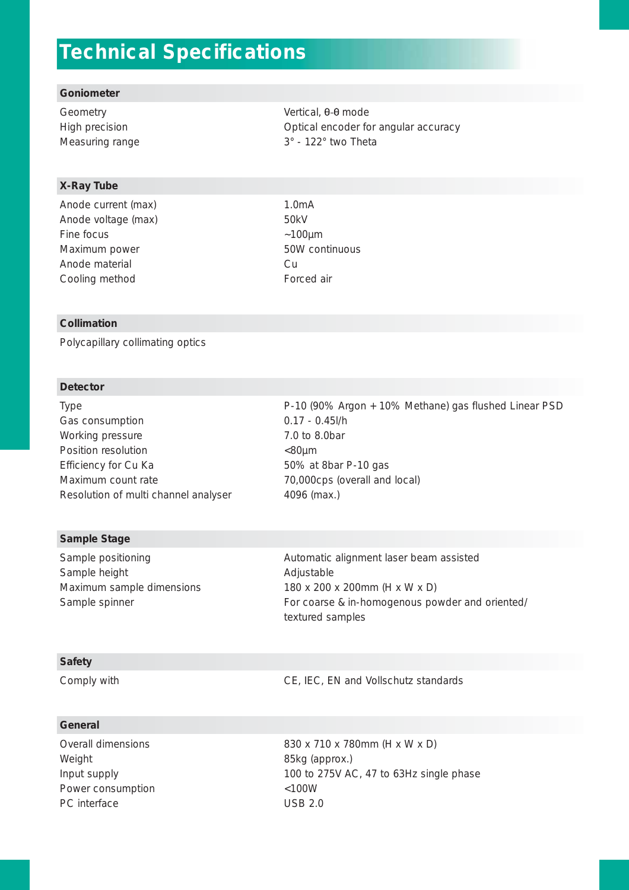### **Technical Specifications**

#### **Goniometer**

#### **X-Ray Tube**

Anode current (max) 1.0mA Anode voltage (max) 50kV Fine focus  $\sim$ 100µm Maximum power 60W continuous Anode material Cu Cooling method **Forced air** 

Geometry Geometry Controller Controller vertical,  $\theta$ - $\theta$  mode High precision **Alternative Contract Contract Contract Contract Contract Contract Contract Contract Contract Contract Contract Contract Contract Contract Contract Contract Contract Contract Contract Contract Contract Contr** Measuring range 3° - 122° two Theta

#### **Collimation**

Polycapillary collimating optics

#### **Detector**

Type P-10 (90% Argon + 10% Methane) gas flushed Linear PSD Gas consumption 0.17 - 0.45l/h Working pressure 7.0 to 8.0bar Position resolution  $\leq 80 \mu m$ Efficiency for Cu Ka 50% at 8bar P-10 gas Maximum count rate 70,000cps (overall and local) Resolution of multi channel analyser 4096 (max.)

#### **Sample Stage**

Sample height **Adjustable** Adjustable

Sample positioning and all the Automatic alignment laser beam assisted Maximum sample dimensions 180 x 200 x 200mm (H x W x D) Sample spinner **For coarse & in-homogenous powder and oriented/** For coarse & in-homogenous powder and oriented/ textured samples

#### **Safety**

Comply with Complete Complete CE, IEC, EN and Vollschutz standards

#### **General**

Weight **85kg (approx.)** Power consumption  $<$ 100W PC interface USB 2.0

Overall dimensions 830 x 710 x 780mm (H x W x D) Input supply 100 to 275V AC, 47 to 63Hz single phase